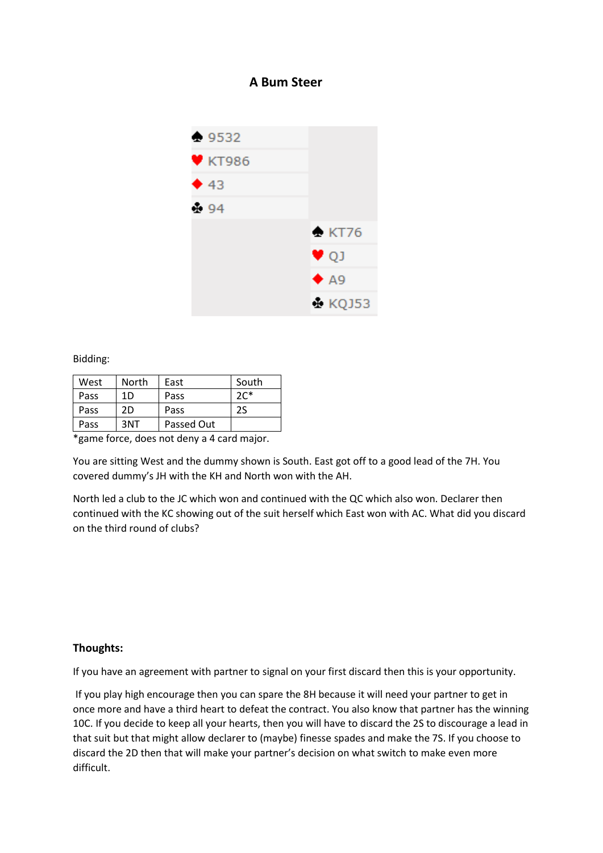## **A Bum Steer**



Bidding:

| West | North | East       | South  |
|------|-------|------------|--------|
| Pass | 1D    | Pass       | $2C^*$ |
| Pass | 2D    | Pass       | 2S     |
| Pass | 3NT   | Passed Out |        |

\*game force, does not deny a 4 card major.

You are sitting West and the dummy shown is South. East got off to a good lead of the 7H. You covered dummy's JH with the KH and North won with the AH.

North led a club to the JC which won and continued with the QC which also won. Declarer then continued with the KC showing out of the suit herself which East won with AC. What did you discard on the third round of clubs?

## **Thoughts:**

If you have an agreement with partner to signal on your first discard then this is your opportunity.

If you play high encourage then you can spare the 8H because it will need your partner to get in once more and have a third heart to defeat the contract. You also know that partner has the winning 10C. If you decide to keep all your hearts, then you will have to discard the 2S to discourage a lead in that suit but that might allow declarer to (maybe) finesse spades and make the 7S. If you choose to discard the 2D then that will make your partner's decision on what switch to make even more difficult.